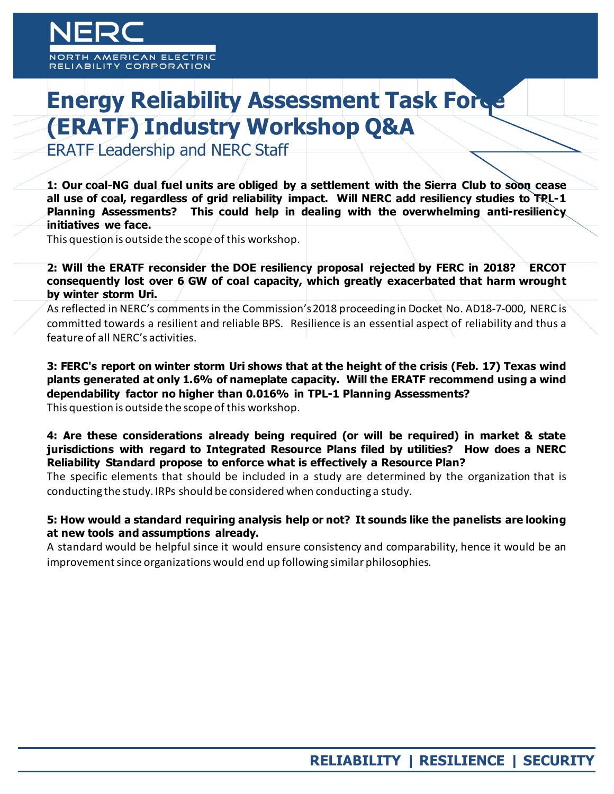# **Energy Reliability Assessment Task Force (ERATF) Industry Workshop Q&A**

ERATF Leadership and NERC Staff

**1: Our coal-NG dual fuel units are obliged by a settlement with the Sierra Club to soon cease all use of coal, regardless of grid reliability impact. Will NERC add resiliency studies to TPL-1 Planning Assessments? This could help in dealing with the overwhelming anti-resiliency initiatives we face.**

This question is outside the scope of this workshop.

**2: Will the ERATF reconsider the DOE resiliency proposal rejected by FERC in 2018? ERCOT consequently lost over 6 GW of coal capacity, which greatly exacerbated that harm wrought by winter storm Uri.**

As reflected in NERC's comments in the Commission's 2018 proceeding in Docket No. AD18-7-000, NERC is committed towards a resilient and reliable BPS. Resilience is an essential aspect of reliability and thus a feature of all NERC's activities.

**3: FERC's report on winter storm Uri shows that at the height of the crisis (Feb. 17) Texas wind plants generated at only 1.6% of nameplate capacity. Will the ERATF recommend using a wind dependability factor no higher than 0.016% in TPL-1 Planning Assessments?** This question is outside the scope of this workshop.

**4: Are these considerations already being required (or will be required) in market & state jurisdictions with regard to Integrated Resource Plans filed by utilities? How does a NERC Reliability Standard propose to enforce what is effectively a Resource Plan?**

The specific elements that should be included in a study are determined by the organization that is conducting the study. IRPs should be considered when conducting a study.

#### **5: How would a standard requiring analysis help or not? It sounds like the panelists are looking at new tools and assumptions already.**

A standard would be helpful since it would ensure consistency and comparability, hence it would be an improvement since organizations would end up following similar philosophies.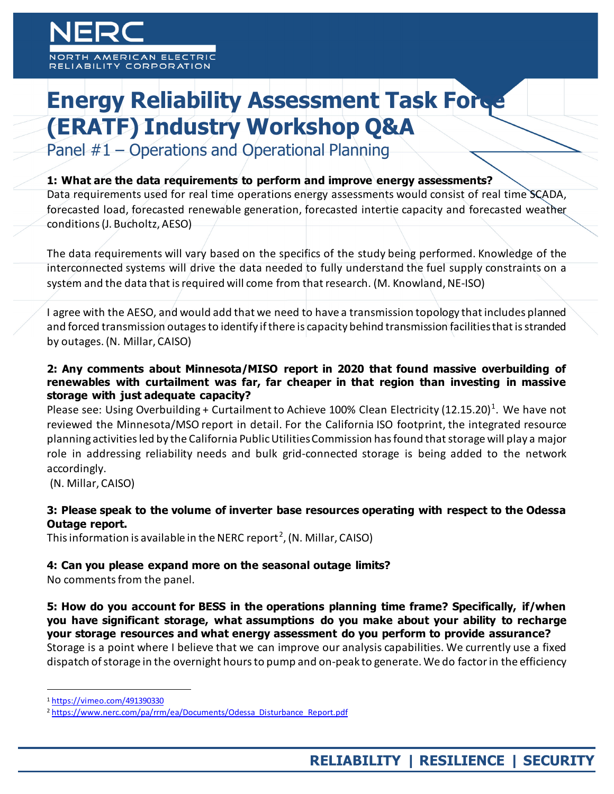MERICAN ELECTRIC **ABILITY CORPORATION** 

# **Energy Reliability Assessment Task Force (ERATF) Industry Workshop Q&A**

Panel #1 – Operations and Operational Planning

#### **1: What are the data requirements to perform and improve energy assessments?**

Data requirements used for real time operations energy assessments would consist of real time SCADA, forecasted load, forecasted renewable generation, forecasted intertie capacity and forecasted weather conditions (J. Bucholtz, AESO)

The data requirements will vary based on the specifics of the study being performed. Knowledge of the interconnected systems will drive the data needed to fully understand the fuel supply constraints on a system and the data that is required will come from that research. (M. Knowland, NE-ISO)

I agree with the AESO, and would add that we need to have a transmission topology that includes planned and forced transmission outages to identify if there is capacity behind transmission facilities that is stranded by outages. (N. Millar, CAISO)

#### **2: Any comments about Minnesota/MISO report in 2020 that found massive overbuilding of renewables with curtailment was far, far cheaper in that region than investing in massive storage with just adequate capacity?**

Please see: Using Overbuilding + Curtailment to Achieve [1](#page-1-0)00% Clean Electricity (12.15.20)<sup>1</sup>. We have not reviewed the Minnesota/MSO report in detail. For the California ISO footprint, the integrated resource planning activities led by the California Public Utilities Commission has found that storage will play a major role in addressing reliability needs and bulk grid-connected storage is being added to the network accordingly.

(N. Millar, CAISO)

### **3: Please speak to the volume of inverter base resources operating with respect to the Odessa Outage report.**

This information is available in the NERC report<sup>[2](#page-1-1)</sup>, (N. Millar, CAISO)

#### **4: Can you please expand more on the seasonal outage limits?**

No comments from the panel.

**5: How do you account for BESS in the operations planning time frame? Specifically, if/when you have significant storage, what assumptions do you make about your ability to recharge your storage resources and what energy assessment do you perform to provide assurance?** Storage is a point where I believe that we can improve our analysis capabilities. We currently use a fixed dispatch of storage in the overnight hours to pump and on-peak to generate. We do factor in the efficiency

<span id="page-1-0"></span> <sup>1</sup> <https://vimeo.com/491390330>

<span id="page-1-1"></span><sup>&</sup>lt;sup>2</sup> [https://www.nerc.com/pa/rrm/ea/Documents/Odessa\\_Disturbance\\_Report.pdf](https://www.nerc.com/pa/rrm/ea/Documents/Odessa_Disturbance_Report.pdf)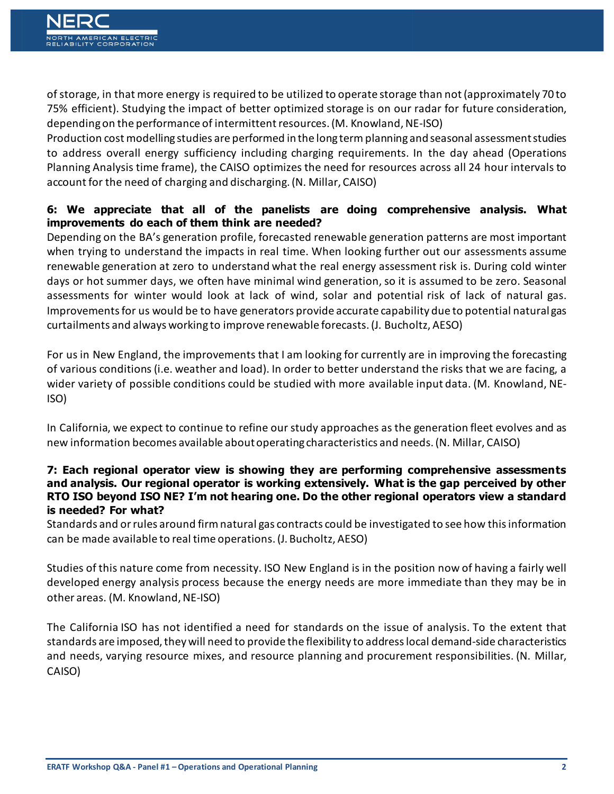of storage, in that more energy is required to be utilized to operate storage than not (approximately 70 to 75% efficient). Studying the impact of better optimized storage is on our radar for future consideration, depending on the performance of intermittent resources. (M. Knowland, NE-ISO)

Production cost modelling studies are performed in the long term planning and seasonal assessment studies to address overall energy sufficiency including charging requirements. In the day ahead (Operations Planning Analysis time frame), the CAISO optimizes the need for resources across all 24 hour intervals to account for the need of charging and discharging. (N. Millar, CAISO)

## **6: We appreciate that all of the panelists are doing comprehensive analysis. What improvements do each of them think are needed?**

Depending on the BA's generation profile, forecasted renewable generation patterns are most important when trying to understand the impacts in real time. When looking further out our assessments assume renewable generation at zero to understand what the real energy assessment risk is. During cold winter days or hot summer days, we often have minimal wind generation, so it is assumed to be zero. Seasonal assessments for winter would look at lack of wind, solar and potential risk of lack of natural gas. Improvements for us would be to have generators provide accurate capability due to potential natural gas curtailments and always working to improve renewable forecasts. (J. Bucholtz, AESO)

For us in New England, the improvements that I am looking for currently are in improving the forecasting of various conditions (i.e. weather and load). In order to better understand the risks that we are facing, a wider variety of possible conditions could be studied with more available input data. (M. Knowland, NE-ISO)

In California, we expect to continue to refine our study approaches as the generation fleet evolves and as new information becomes available about operating characteristics and needs. (N. Millar, CAISO)

#### **7: Each regional operator view is showing they are performing comprehensive assessments and analysis. Our regional operator is working extensively. What is the gap perceived by other RTO ISO beyond ISO NE? I'm not hearing one. Do the other regional operators view a standard is needed? For what?**

Standards and or rules around firm natural gas contracts could be investigated to see how this information can be made available to real time operations. (J. Bucholtz, AESO)

Studies of this nature come from necessity. ISO New England is in the position now of having a fairly well developed energy analysis process because the energy needs are more immediate than they may be in other areas. (M. Knowland, NE-ISO)

The California ISO has not identified a need for standards on the issue of analysis. To the extent that standards are imposed, they will need to provide the flexibility to address local demand-side characteristics and needs, varying resource mixes, and resource planning and procurement responsibilities. (N. Millar, CAISO)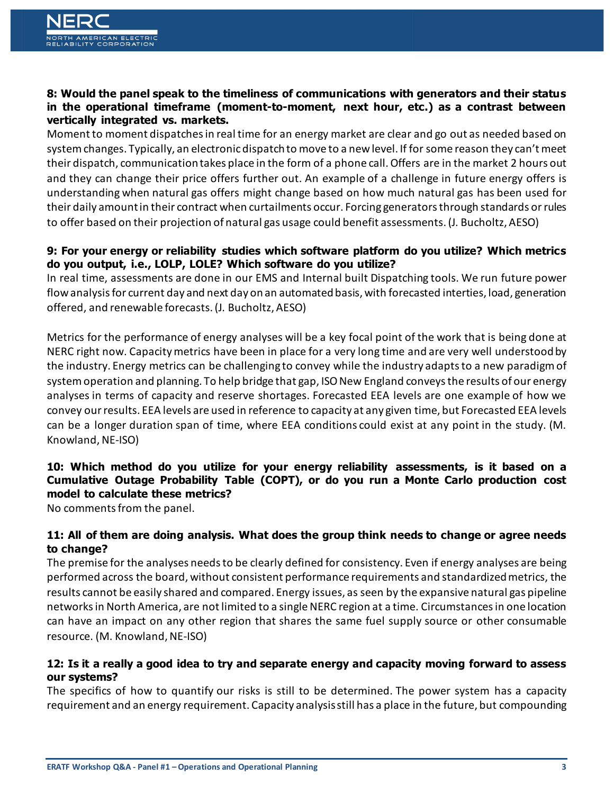#### **8: Would the panel speak to the timeliness of communications with generators and their status in the operational timeframe (moment-to-moment, next hour, etc.) as a contrast between vertically integrated vs. markets.**

Moment to moment dispatches in real time for an energy market are clear and go out as needed based on system changes. Typically, an electronic dispatch to move to a new level. If for some reason they can't meet their dispatch, communication takes place in the form of a phone call. Offers are in the market 2 hours out and they can change their price offers further out. An example of a challenge in future energy offers is understanding when natural gas offers might change based on how much natural gas has been used for their daily amount in their contract when curtailments occur. Forcing generators through standards or rules to offer based on their projection of natural gas usage could benefit assessments. (J. Bucholtz, AESO)

### **9: For your energy or reliability studies which software platform do you utilize? Which metrics do you output, i.e., LOLP, LOLE? Which software do you utilize?**

In real time, assessments are done in our EMS and Internal built Dispatching tools. We run future power flow analysis for current day and next day on an automated basis, with forecasted interties, load, generation offered, and renewable forecasts. (J. Bucholtz, AESO)

Metrics for the performance of energy analyses will be a key focal point of the work that is being done at NERC right now. Capacity metrics have been in place for a very long time and are very well understood by the industry. Energy metrics can be challenging to convey while the industry adapts to a new paradigm of system operation and planning. To help bridge that gap, ISO New England conveys the results of our energy analyses in terms of capacity and reserve shortages. Forecasted EEA levels are one example of how we convey our results. EEA levels are used in reference to capacity at any given time, but Forecasted EEA levels can be a longer duration span of time, where EEA conditions could exist at any point in the study. (M. Knowland, NE-ISO)

### **10: Which method do you utilize for your energy reliability assessments, is it based on a Cumulative Outage Probability Table (COPT), or do you run a Monte Carlo production cost model to calculate these metrics?**

No comments from the panel.

#### **11: All of them are doing analysis. What does the group think needs to change or agree needs to change?**

The premise for the analyses needs to be clearly defined for consistency. Even if energy analyses are being performed across the board, without consistent performance requirements and standardized metrics, the results cannot be easily shared and compared. Energy issues, as seen by the expansive natural gas pipeline networks in North America, are not limited to a single NERC region at a time. Circumstances in one location can have an impact on any other region that shares the same fuel supply source or other consumable resource. (M. Knowland, NE-ISO)

#### **12: Is it a really a good idea to try and separate energy and capacity moving forward to assess our systems?**

The specifics of how to quantify our risks is still to be determined. The power system has a capacity requirement and an energy requirement. Capacity analysis still has a place in the future, but compounding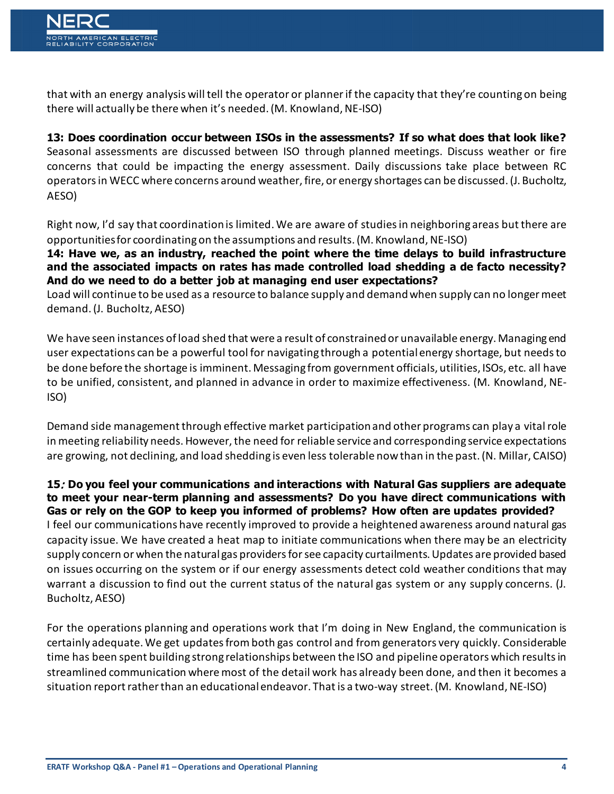that with an energy analysis will tell the operator or planner if the capacity that they're counting on being there will actually be there when it's needed. (M. Knowland, NE-ISO)

**13: Does coordination occur between ISOs in the assessments? If so what does that look like?**  Seasonal assessments are discussed between ISO through planned meetings. Discuss weather or fire concerns that could be impacting the energy assessment. Daily discussions take place between RC operators in WECC where concerns around weather, fire, or energy shortages can be discussed. (J. Bucholtz, AESO)

Right now, I'd say that coordination is limited. We are aware of studies in neighboring areas but there are opportunities for coordinating on the assumptions and results. (M. Knowland, NE-ISO)

**14: Have we, as an industry, reached the point where the time delays to build infrastructure and the associated impacts on rates has made controlled load shedding a de facto necessity? And do we need to do a better job at managing end user expectations?** 

Load will continue to be used as a resource to balance supply and demand when supply can no longer meet demand. (J. Bucholtz, AESO)

We have seen instances of load shed that were a result of constrained or unavailable energy. Managing end user expectations can be a powerful tool for navigating through a potential energy shortage, but needs to be done before the shortage is imminent. Messaging from government officials, utilities, ISOs, etc. all have to be unified, consistent, and planned in advance in order to maximize effectiveness. (M. Knowland, NE-ISO)

Demand side management through effective market participation and other programs can play a vital role in meeting reliability needs. However, the need for reliable service and corresponding service expectations are growing, not declining, and load shedding is even less tolerable now than in the past. (N. Millar, CAISO)

**15**: **Do you feel your communications and interactions with Natural Gas suppliers are adequate to meet your near-term planning and assessments? Do you have direct communications with Gas or rely on the GOP to keep you informed of problems? How often are updates provided?**  I feel our communications have recently improved to provide a heightened awareness around natural gas capacity issue. We have created a heat map to initiate communications when there may be an electricity supply concern or when the natural gas providers for see capacity curtailments. Updates are provided based on issues occurring on the system or if our energy assessments detect cold weather conditions that may warrant a discussion to find out the current status of the natural gas system or any supply concerns. (J. Bucholtz, AESO)

For the operations planning and operations work that I'm doing in New England, the communication is certainly adequate. We get updates from both gas control and from generators very quickly. Considerable time has been spent building strong relationships between the ISO and pipeline operators which results in streamlined communication where most of the detail work has already been done, and then it becomes a situation report rather than an educational endeavor. That is a two-way street. (M. Knowland, NE-ISO)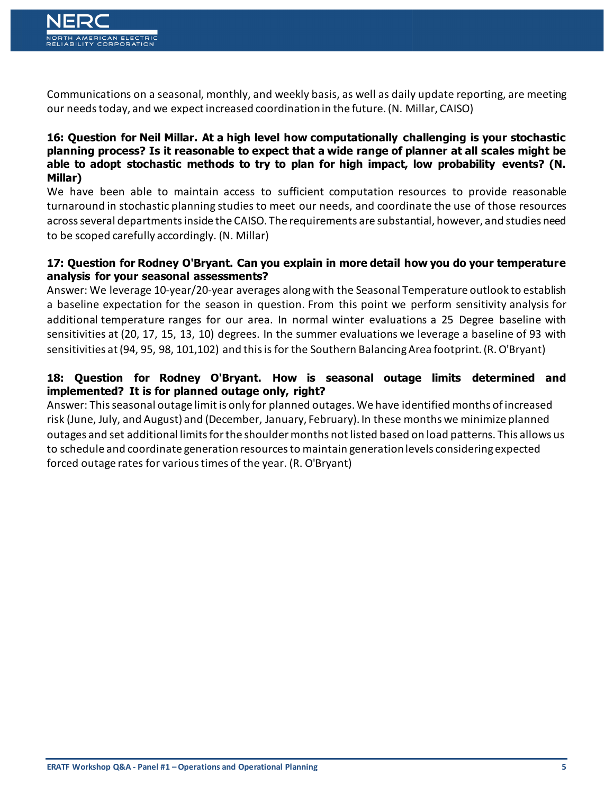Communications on a seasonal, monthly, and weekly basis, as well as daily update reporting, are meeting our needs today, and we expect increased coordination in the future.(N. Millar, CAISO)

#### **16: Question for Neil Millar. At a high level how computationally challenging is your stochastic planning process? Is it reasonable to expect that a wide range of planner at all scales might be able to adopt stochastic methods to try to plan for high impact, low probability events? (N. Millar)**

We have been able to maintain access to sufficient computation resources to provide reasonable turnaround in stochastic planning studies to meet our needs, and coordinate the use of those resources across several departments inside the CAISO. The requirements are substantial, however, and studies need to be scoped carefully accordingly. (N. Millar)

#### **17: Question for Rodney O'Bryant. Can you explain in more detail how you do your temperature analysis for your seasonal assessments?**

Answer: We leverage 10-year/20-year averages along with the Seasonal Temperature outlook to establish a baseline expectation for the season in question. From this point we perform sensitivity analysis for additional temperature ranges for our area. In normal winter evaluations a 25 Degree baseline with sensitivities at (20, 17, 15, 13, 10) degrees. In the summer evaluations we leverage a baseline of 93 with sensitivities at (94, 95, 98, 101,102) and this is for the Southern Balancing Area footprint. (R. O'Bryant)

# **18: Question for Rodney O'Bryant. How is seasonal outage limits determined and implemented? It is for planned outage only, right?**

Answer: This seasonal outage limit is only for planned outages. We have identified months of increased risk (June, July, and August) and (December, January, February). In these months we minimize planned outages and set additional limits for the shoulder months not listed based on load patterns. This allows us to schedule and coordinate generation resources to maintain generation levels considering expected forced outage rates for various times of the year. (R. O'Bryant)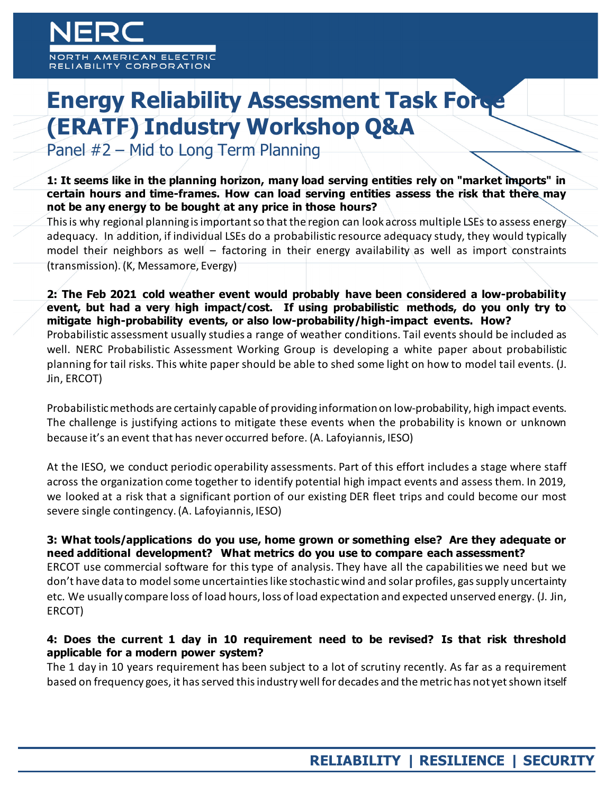MERICAN ELECTRIC ABILITY CORPORATION

# **Energy Reliability Assessment Task Force (ERATF) Industry Workshop Q&A**

Panel #2 – Mid to Long Term Planning

**1: It seems like in the planning horizon, many load serving entities rely on "market imports" in certain hours and time-frames. How can load serving entities assess the risk that there may not be any energy to be bought at any price in those hours?**

This is why regional planning is important so that the region can look across multiple LSEs to assess energy adequacy. In addition, if individual LSEs do a probabilistic resource adequacy study, they would typically model their neighbors as well – factoring in their energy availability as well as import constraints (transmission). (K, Messamore, Evergy)

**2: The Feb 2021 cold weather event would probably have been considered a low-probability event, but had a very high impact/cost. If using probabilistic methods, do you only try to mitigate high-probability events, or also low-probability/high-impact events. How?** Probabilistic assessment usually studies a range of weather conditions. Tail events should be included as well. NERC Probabilistic Assessment Working Group is developing a white paper about probabilistic planning for tail risks. This white paper should be able to shed some light on how to model tail events. (J. Jin, ERCOT)

Probabilistic methods are certainly capable of providing information on low-probability, high impact events. The challenge is justifying actions to mitigate these events when the probability is known or unknown because it's an event that has never occurred before. (A. Lafoyiannis, IESO)

At the IESO, we conduct periodic operability assessments. Part of this effort includes a stage where staff across the organization come together to identify potential high impact events and assess them. In 2019, we looked at a risk that a significant portion of our existing DER fleet trips and could become our most severe single contingency. (A. Lafoyiannis, IESO)

#### **3: What tools/applications do you use, home grown or something else? Are they adequate or need additional development? What metrics do you use to compare each assessment?**

ERCOT use commercial software for this type of analysis. They have all the capabilities we need but we don't have data to model some uncertainties like stochastic wind and solar profiles, gas supply uncertainty etc. We usually compare loss of load hours, loss of load expectation and expected unserved energy. (J. Jin, ERCOT)

#### **4: Does the current 1 day in 10 requirement need to be revised? Is that risk threshold applicable for a modern power system?**

The 1 day in 10 years requirement has been subject to a lot of scrutiny recently. As far as a requirement based on frequency goes, it has served this industry well for decades and the metric has not yet shown itself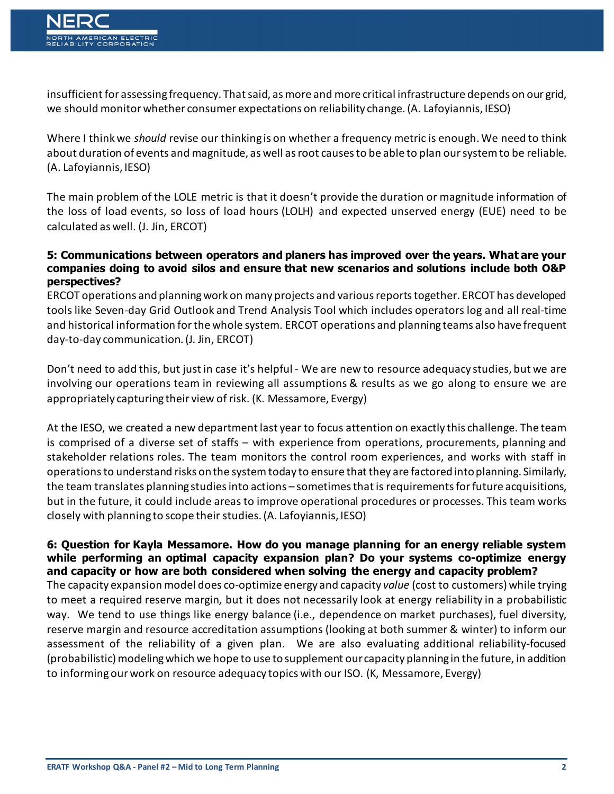insufficient for assessing frequency. That said, as more and more critical infrastructure depends on our grid, we should monitor whether consumer expectations on reliability change. (A. Lafoyiannis, IESO)

Where I think we *should* revise our thinking is on whether a frequency metric is enough. We need to think about duration of events and magnitude, as well as root causes to be able to plan our system to be reliable. (A. Lafoyiannis, IESO)

The main problem of the LOLE metric is that it doesn't provide the duration or magnitude information of the loss of load events, so loss of load hours (LOLH) and expected unserved energy (EUE) need to be calculated as well. (J. Jin, ERCOT)

#### **5: Communications between operators and planers has improved over the years. What are your companies doing to avoid silos and ensure that new scenarios and solutions include both O&P perspectives?**

ERCOT operations and planning work on many projects and various reports together. ERCOT has developed tools like Seven-day Grid Outlook and Trend Analysis Tool which includes operators log and all real-time and historical information for the whole system. ERCOT operations and planning teams also have frequent day-to-day communication. (J. Jin, ERCOT)

Don't need to add this, but just in case it's helpful - We are new to resource adequacy studies, but we are involving our operations team in reviewing all assumptions & results as we go along to ensure we are appropriately capturing their view of risk. (K. Messamore, Evergy)

At the IESO, we created a new department last year to focus attention on exactly this challenge. The team is comprised of a diverse set of staffs – with experience from operations, procurements, planning and stakeholder relations roles. The team monitors the control room experiences, and works with staff in operations to understand risks on the system today to ensure that they are factored into planning. Similarly, the team translates planning studies into actions – sometimes that is requirements for future acquisitions, but in the future, it could include areas to improve operational procedures or processes. This team works closely with planning to scope their studies. (A. Lafoyiannis, IESO)

#### **6: Question for Kayla Messamore. How do you manage planning for an energy reliable system while performing an optimal capacity expansion plan? Do your systems co-optimize energy and capacity or how are both considered when solving the energy and capacity problem?**

The capacity expansion model does co-optimize energy and capacity *value* (cost to customers) while trying to meet a required reserve margin*,* but it does not necessarily look at energy reliability in a probabilistic way. We tend to use things like energy balance (i.e., dependence on market purchases), fuel diversity, reserve margin and resource accreditation assumptions (looking at both summer & winter) to inform our assessment of the reliability of a given plan. We are also evaluating additional reliability-focused (probabilistic) modeling which we hope to use to supplement our capacity planning in the future, in addition to informing our work on resource adequacy topics with our ISO. (K, Messamore, Evergy)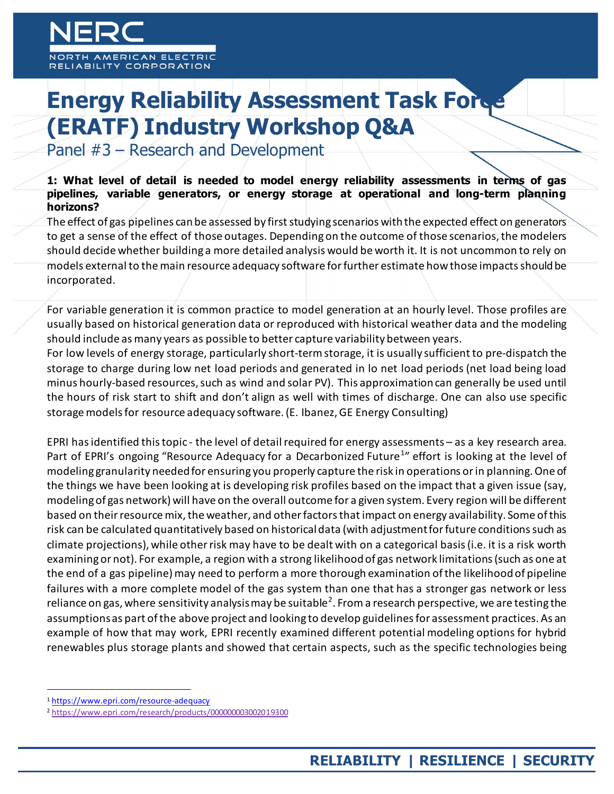MERICAN ELECTRIC ABILITY CORPORATION

# **Energy Reliability Assessment Task Force (ERATF) Industry Workshop Q&A**

Panel #3 – Research and Development

**1: What level of detail is needed to model energy reliability assessments in terms of gas pipelines, variable generators, or energy storage at operational and long-term planning horizons?**

The effect of gas pipelines can be assessed by first studying scenarios with the expected effect on generators to get a sense of the effect of those outages. Depending on the outcome of those scenarios, the modelers should decide whether building a more detailed analysis would be worth it. It is not uncommon to rely on models external to the main resource adequacy software for further estimate howthose impacts should be incorporated.

For variable generation it is common practice to model generation at an hourly level. Those profiles are usually based on historical generation data or reproduced with historical weather data and the modeling should include as many years as possible to better capture variability between years.

For low levels of energy storage, particularly short-term storage, it is usually sufficient to pre-dispatch the storage to charge during low net load periods and generated in lo net load periods (net load being load minus hourly-based resources, such as wind and solar PV). This approximation can generally be used until the hours of risk start to shift and don't align as well with times of discharge. One can also use specific storage models for resource adequacy software.(E. Ibanez, GE Energy Consulting)

EPRI has identified this topic - the level of detail required for energy assessments – as a key research area. Part of EPRI's ongoing "Resource Adequacy for a Decarbonized Future<sup>[1](#page-8-0)</sup>" effort is looking at the level of modeling granularity needed for ensuring you properly capture the risk in operations or in planning. One of the things we have been looking at is developing risk profiles based on the impact that a given issue (say, modeling of gas network) will have on the overall outcome for a given system. Every region will be different based on their resource mix, the weather, and other factors that impact on energy availability. Some of this risk can be calculated quantitatively based on historical data (with adjustment for future conditions such as climate projections), while other risk may have to be dealt with on a categorical basis (i.e. it is a risk worth examining or not). For example, a region with a strong likelihood of gas network limitations (such as one at the end of a gas pipeline) may need to perform a more thorough examination of the likelihood of pipeline failures with a more complete model of the gas system than one that has a stronger gas network or less reliance on gas, where sensitivity analysis may be suitable<sup>[2](#page-8-1)</sup>. From a research perspective, we are testing the assumptions as part of the above project and looking to develop guidelines for assessment practices. As an example of how that may work, EPRI recently examined different potential modeling options for hybrid renewables plus storage plants and showed that certain aspects, such as the specific technologies being

<span id="page-8-0"></span> <sup>1</sup> <https://www.epri.com/resource-adequacy>

<span id="page-8-1"></span><sup>2</sup> <https://www.epri.com/research/products/000000003002019300>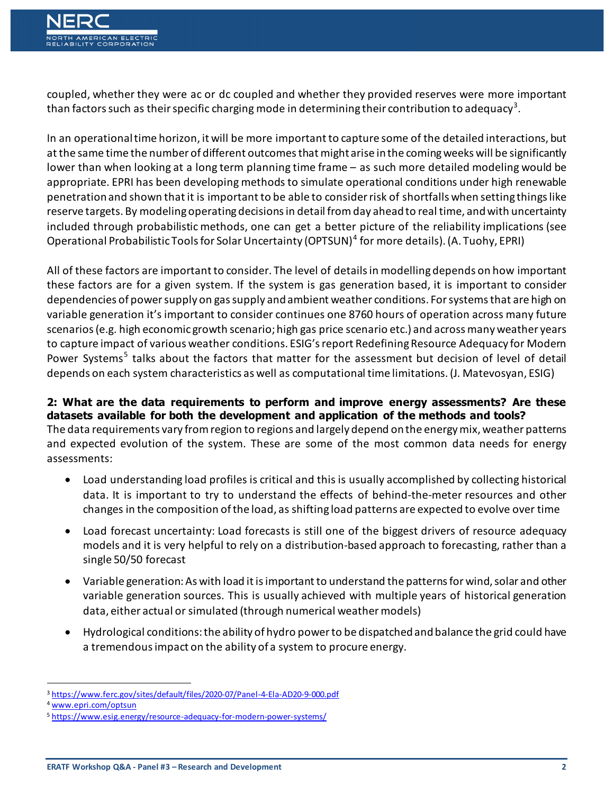coupled, whether they were ac or dc coupled and whether they provided reserves were more important than factors such as their specific charging mode in determining their contribution to adequacy $^3$  $^3$ .

In an operational time horizon, it will be more important to capture some of the detailed interactions, but at the same time the number of different outcomes that might arise in the coming weeks will be significantly lower than when looking at a long term planning time frame – as such more detailed modeling would be appropriate. EPRI has been developing methods to simulate operational conditions under high renewable penetration and shown that it is important to be able to consider risk of shortfalls when setting things like reserve targets. By modeling operating decisions in detail from day ahead to real time, and with uncertainty included through probabilistic methods, one can get a better picture of the reliability implications (see Operational Probabilistic Tools for Solar Uncertainty (OPTSUN)[4](#page-9-1) for more details). (A. Tuohy, EPRI)

All of these factors are important to consider. The level of details in modelling depends on how important these factors are for a given system. If the system is gas generation based, it is important to consider dependencies of power supply on gas supply and ambient weather conditions. For systems that are high on variable generation it's important to consider continues one 8760 hours of operation across many future scenarios (e.g. high economic growth scenario; high gas price scenario etc.) and across many weather years to capture impact of various weather conditions. ESIG's report Redefining Resource Adequacy for Modern Power Systems<sup>[5](#page-9-2)</sup> talks about the factors that matter for the assessment but decision of level of detail depends on each system characteristics as well as computational time limitations. (J. Matevosyan, ESIG)

# **2: What are the data requirements to perform and improve energy assessments? Are these datasets available for both the development and application of the methods and tools?**

The data requirements vary from region to regions and largely depend on the energy mix, weather patterns and expected evolution of the system. These are some of the most common data needs for energy assessments:

- Load understanding load profiles is critical and this is usually accomplished by collecting historical data. It is important to try to understand the effects of behind-the-meter resources and other changes in the composition of the load, as shifting load patterns are expected to evolve over time
- Load forecast uncertainty: Load forecasts is still one of the biggest drivers of resource adequacy models and it is very helpful to rely on a distribution-based approach to forecasting, rather than a single 50/50 forecast
- Variable generation: As with load it is important to understand the patterns for wind, solar and other variable generation sources. This is usually achieved with multiple years of historical generation data, either actual or simulated (through numerical weather models)
- Hydrological conditions: the ability of hydro power to be dispatched and balance the grid could have a tremendous impact on the ability of a system to procure energy.

<span id="page-9-0"></span> <sup>3</sup> <https://www.ferc.gov/sites/default/files/2020-07/Panel-4-Ela-AD20-9-000.pdf>

<span id="page-9-1"></span><sup>4</sup> [www.epri.com/optsun](http://www.epri.com/optsun)

<span id="page-9-2"></span><sup>5</sup> <https://www.esig.energy/resource-adequacy-for-modern-power-systems/>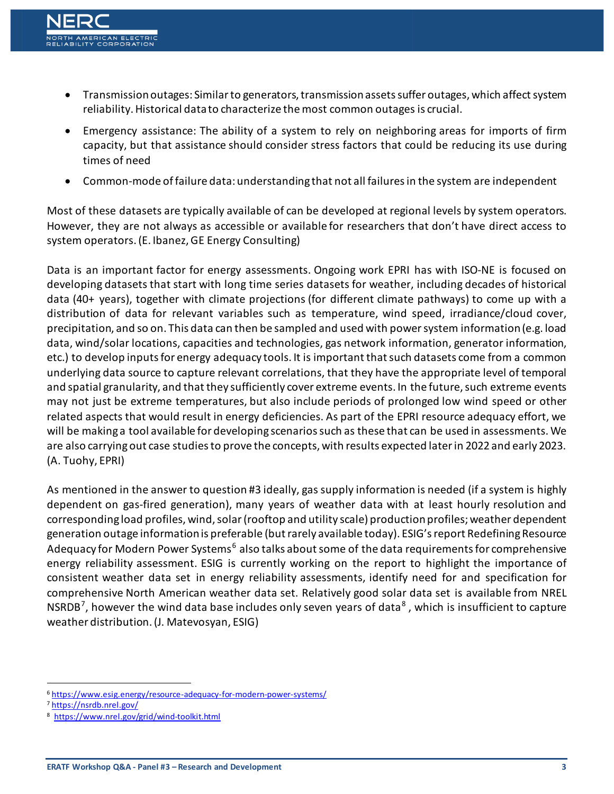- Transmission outages: Similar to generators, transmission assets suffer outages, which affect system reliability. Historical data to characterize the most common outages is crucial.
- Emergency assistance: The ability of a system to rely on neighboring areas for imports of firm capacity, but that assistance should consider stress factors that could be reducing its use during times of need
- Common-mode of failure data: understanding that not all failures in the system are independent

Most of these datasets are typically available of can be developed at regional levels by system operators. However, they are not always as accessible or available for researchers that don't have direct access to system operators.(E. Ibanez, GE Energy Consulting)

Data is an important factor for energy assessments. Ongoing work EPRI has with ISO-NE is focused on developing datasets that start with long time series datasets for weather, including decades of historical data (40+ years), together with climate projections (for different climate pathways) to come up with a distribution of data for relevant variables such as temperature, wind speed, irradiance/cloud cover, precipitation, and so on. This data can then be sampled and used with power system information (e.g. load data, wind/solar locations, capacities and technologies, gas network information, generator information, etc.) to develop inputs for energy adequacy tools. It is important that such datasets come from a common underlying data source to capture relevant correlations, that they have the appropriate level of temporal and spatial granularity, and that they sufficiently cover extreme events. In the future, such extreme events may not just be extreme temperatures, but also include periods of prolonged low wind speed or other related aspects that would result in energy deficiencies. As part of the EPRI resource adequacy effort, we will be making a tool available for developing scenarios such as these that can be used in assessments. We are also carrying out case studies to prove the concepts, with results expected laterin 2022 and early 2023. (A. Tuohy, EPRI)

As mentioned in the answer to question #3 ideally, gas supply information is needed (if a system is highly dependent on gas-fired generation), many years of weather data with at least hourly resolution and corresponding load profiles, wind, solar (rooftop and utility scale) production profiles; weather dependent generation outage information is preferable (but rarely available today). ESIG's report Redefining Resource Adequacy for Modern Power Systems<sup>[6](#page-10-0)</sup> also talks about some of the data requirements for comprehensive energy reliability assessment. ESIG is currently working on the report to highlight the importance of consistent weather data set in energy reliability assessments, identify need for and specification for comprehensive North American weather data set. Relatively good solar data set is available from NREL NSRDB<sup>[7](#page-10-1)</sup>, however the wind data base includes only seven years of data<sup>[8](#page-10-2)</sup>, which is insufficient to capture weather distribution.(J. Matevosyan, ESIG)

<span id="page-10-0"></span> <sup>6</sup> <https://www.esig.energy/resource-adequacy-for-modern-power-systems/>

<span id="page-10-1"></span><sup>7</sup> <https://nsrdb.nrel.gov/>

<span id="page-10-2"></span><sup>8</sup> <https://www.nrel.gov/grid/wind-toolkit.html>